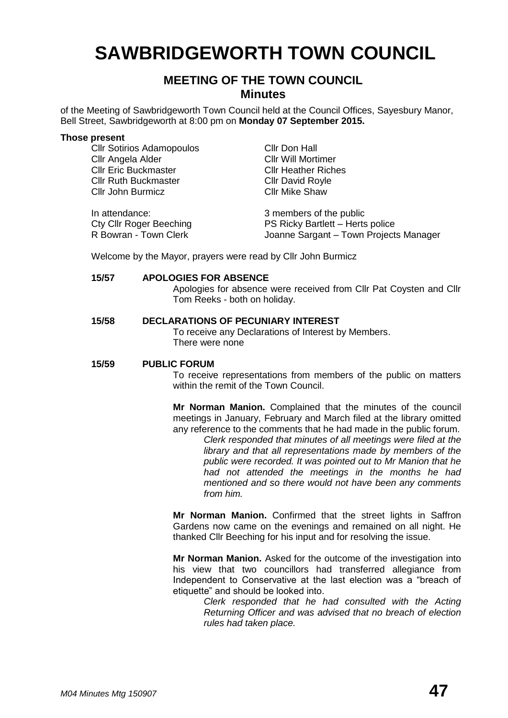## **SAWBRIDGEWORTH TOWN COUNCIL**

#### **MEETING OF THE TOWN COUNCIL Minutes**

of the Meeting of Sawbridgeworth Town Council held at the Council Offices, Sayesbury Manor, Bell Street, Sawbridgeworth at 8:00 pm on **Monday 07 September 2015.**

#### **Those present**

Cllr Sotirios Adamopoulos Cllr Don Hall Cllr Angela Alder Cllr Will Mortimer Cllr Eric Buckmaster Cllr Heather Riches Cllr Ruth Buckmaster Cllr David Royle **Cllr John Burmicz** Cllr Mike Shaw

In attendance: 3 members of the public

Cty Cllr Roger Beeching<br>
R Bowran - Town Clerk<br>
PS Ricky Bartlett – Herts police<br>
Joanne Sargant – Town Project Joanne Sargant – Town Projects Manager

Welcome by the Mayor, prayers were read by Cllr John Burmicz

#### **15/57 APOLOGIES FOR ABSENCE**

Apologies for absence were received from Cllr Pat Coysten and Cllr Tom Reeks - both on holiday.

#### **15/58 DECLARATIONS OF PECUNIARY INTEREST**

To receive any Declarations of Interest by Members. There were none

#### **15/59 PUBLIC FORUM**

To receive representations from members of the public on matters within the remit of the Town Council.

**Mr Norman Manion.** Complained that the minutes of the council meetings in January, February and March filed at the library omitted any reference to the comments that he had made in the public forum.

> *Clerk responded that minutes of all meetings were filed at the library and that all representations made by members of the public were recorded. It was pointed out to Mr Manion that he had not attended the meetings in the months he had mentioned and so there would not have been any comments from him.*

**Mr Norman Manion.** Confirmed that the street lights in Saffron Gardens now came on the evenings and remained on all night. He thanked Cllr Beeching for his input and for resolving the issue.

**Mr Norman Manion.** Asked for the outcome of the investigation into his view that two councillors had transferred allegiance from Independent to Conservative at the last election was a "breach of etiquette" and should be looked into.

> *Clerk responded that he had consulted with the Acting Returning Officer and was advised that no breach of election rules had taken place.*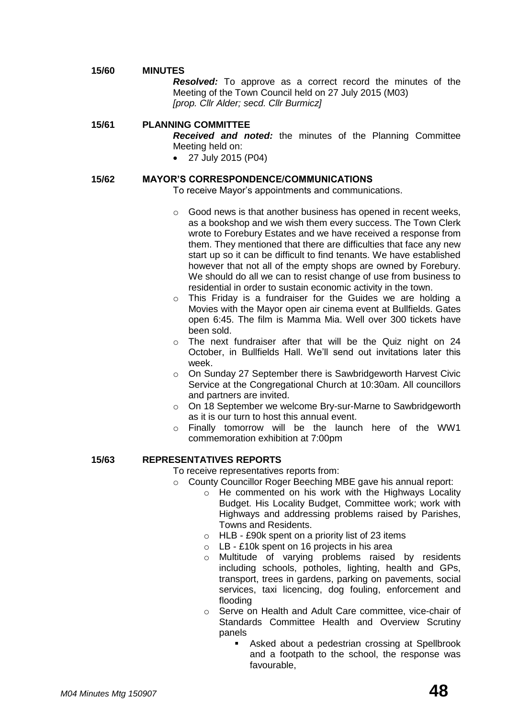#### **15/60 MINUTES**

*Resolved:* To approve as a correct record the minutes of the Meeting of the Town Council held on 27 July 2015 (M03) *[prop. Cllr Alder; secd. Cllr Burmicz]*

#### **15/61 PLANNING COMMITTEE**

*Received and noted:* the minutes of the Planning Committee Meeting held on:

27 July 2015 (P04)

#### **15/62 MAYOR'S CORRESPONDENCE/COMMUNICATIONS**

- To receive Mayor's appointments and communications.
- o Good news is that another business has opened in recent weeks, as a bookshop and we wish them every success. The Town Clerk wrote to Forebury Estates and we have received a response from them. They mentioned that there are difficulties that face any new start up so it can be difficult to find tenants. We have established however that not all of the empty shops are owned by Forebury. We should do all we can to resist change of use from business to residential in order to sustain economic activity in the town.
- o This Friday is a fundraiser for the Guides we are holding a Movies with the Mayor open air cinema event at Bullfields. Gates open 6:45. The film is Mamma Mia. Well over 300 tickets have been sold.
- o The next fundraiser after that will be the Quiz night on 24 October, in Bullfields Hall. We'll send out invitations later this week.
- o On Sunday 27 September there is Sawbridgeworth Harvest Civic Service at the Congregational Church at 10:30am. All councillors and partners are invited.
- o On 18 September we welcome Bry-sur-Marne to Sawbridgeworth as it is our turn to host this annual event.
- o Finally tomorrow will be the launch here of the WW1 commemoration exhibition at 7:00pm

#### **15/63 REPRESENTATIVES REPORTS**

To receive representatives reports from:

- o County Councillor Roger Beeching MBE gave his annual report:
	- o He commented on his work with the Highways Locality Budget. His Locality Budget, Committee work; work with Highways and addressing problems raised by Parishes, Towns and Residents.
	- o HLB £90k spent on a priority list of 23 items
	- o LB £10k spent on 16 projects in his area
	- o Multitude of varying problems raised by residents including schools, potholes, lighting, health and GPs, transport, trees in gardens, parking on pavements, social services, taxi licencing, dog fouling, enforcement and flooding
	- o Serve on Health and Adult Care committee, vice-chair of Standards Committee Health and Overview Scrutiny panels
		- Asked about a pedestrian crossing at Spellbrook and a footpath to the school, the response was favourable,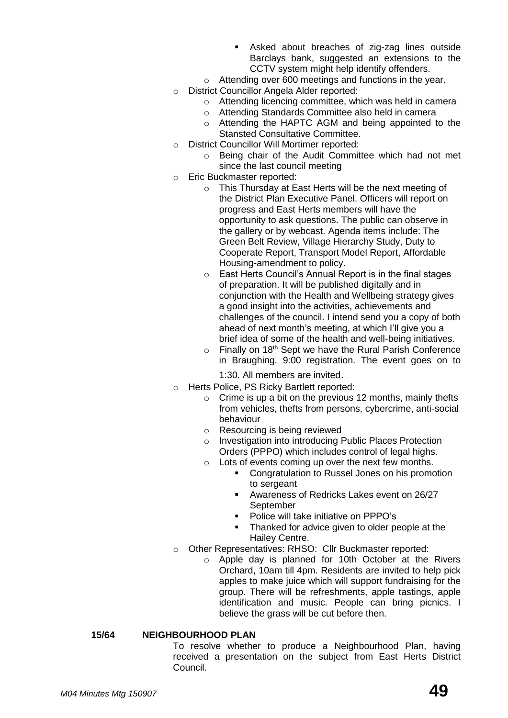- Asked about breaches of zig-zag lines outside Barclays bank, suggested an extensions to the CCTV system might help identify offenders.
- o Attending over 600 meetings and functions in the year.
- o District Councillor Angela Alder reported:
	- o Attending licencing committee, which was held in camera
	- o Attending Standards Committee also held in camera
	- o Attending the HAPTC AGM and being appointed to the Stansted Consultative Committee.
- o District Councillor Will Mortimer reported:
	- o Being chair of the Audit Committee which had not met since the last council meeting
- o Eric Buckmaster reported:
	- o This Thursday at East Herts will be the next meeting of the District Plan Executive Panel. Officers will report on progress and East Herts members will have the opportunity to ask questions. The public can observe in the gallery or by webcast. Agenda items include: The Green Belt Review, Village Hierarchy Study, Duty to Cooperate Report, Transport Model Report, Affordable Housing-amendment to policy.
	- o East Herts Council's Annual Report is in the final stages of preparation. It will be published digitally and in conjunction with the Health and Wellbeing strategy gives a good insight into the activities, achievements and challenges of the council. I intend send you a copy of both ahead of next month's meeting, at which I'll give you a brief idea of some of the health and well-being initiatives.
	- $\circ$  Finally on 18<sup>th</sup> Sept we have the Rural Parish Conference in Braughing. 9:00 registration. The event goes on to

1:30. All members are invited.

- o Herts Police, PS Ricky Bartlett reported:
	- $\circ$  Crime is up a bit on the previous 12 months, mainly thefts from vehicles, thefts from persons, cybercrime, anti-social behaviour
	- o Resourcing is being reviewed
	- o Investigation into introducing Public Places Protection Orders (PPPO) which includes control of legal highs.
	- o Lots of events coming up over the next few months.
		- Congratulation to Russel Jones on his promotion to sergeant
		- Awareness of Redricks Lakes event on 26/27 September
		- Police will take initiative on PPPO's
		- Thanked for advice given to older people at the Hailey Centre.
- o Other Representatives: RHSO: Cllr Buckmaster reported:
	- o Apple day is planned for 10th October at the Rivers Orchard, 10am till 4pm. Residents are invited to help pick apples to make juice which will support fundraising for the group. There will be refreshments, apple tastings, apple identification and music. People can bring picnics. I believe the grass will be cut before then.

#### **15/64 NEIGHBOURHOOD PLAN**

To resolve whether to produce a Neighbourhood Plan, having received a presentation on the subject from East Herts District Council.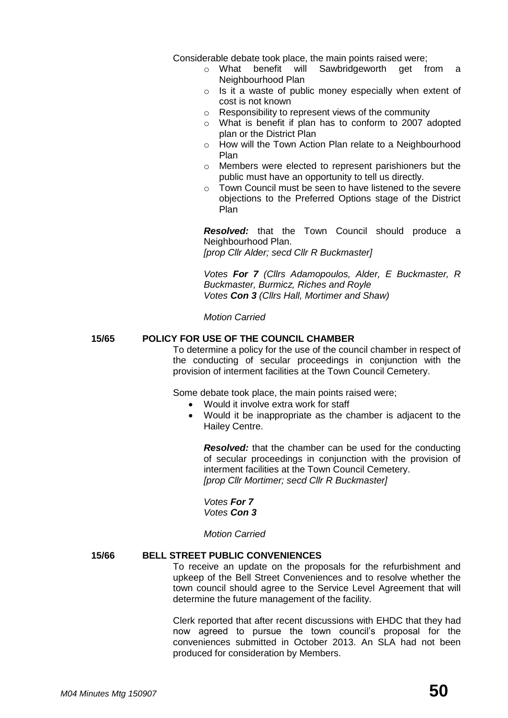Considerable debate took place, the main points raised were;

- o What benefit will Sawbridgeworth get from a Neighbourhood Plan
- o Is it a waste of public money especially when extent of cost is not known
- o Responsibility to represent views of the community
- o What is benefit if plan has to conform to 2007 adopted plan or the District Plan
- o How will the Town Action Plan relate to a Neighbourhood Plan
- o Members were elected to represent parishioners but the public must have an opportunity to tell us directly.
- o Town Council must be seen to have listened to the severe objections to the Preferred Options stage of the District Plan

*Resolved:* that the Town Council should produce a Neighbourhood Plan. *[prop Cllr Alder; secd Cllr R Buckmaster]*

*Votes For 7 (Cllrs Adamopoulos, Alder, E Buckmaster, R Buckmaster, Burmicz, Riches and Royle Votes Con 3 (Cllrs Hall, Mortimer and Shaw)*

*Motion Carried*

#### **15/65 POLICY FOR USE OF THE COUNCIL CHAMBER**

To determine a policy for the use of the council chamber in respect of the conducting of secular proceedings in conjunction with the provision of interment facilities at the Town Council Cemetery.

Some debate took place, the main points raised were;

- Would it involve extra work for staff
- Would it be inappropriate as the chamber is adjacent to the Hailey Centre.

*Resolved:* that the chamber can be used for the conducting of secular proceedings in conjunction with the provision of interment facilities at the Town Council Cemetery. *[prop Cllr Mortimer; secd Cllr R Buckmaster]*

*Votes For 7 Votes Con 3*

*Motion Carried*

#### **15/66 BELL STREET PUBLIC CONVENIENCES**

To receive an update on the proposals for the refurbishment and upkeep of the Bell Street Conveniences and to resolve whether the town council should agree to the Service Level Agreement that will determine the future management of the facility.

Clerk reported that after recent discussions with EHDC that they had now agreed to pursue the town council's proposal for the conveniences submitted in October 2013. An SLA had not been produced for consideration by Members.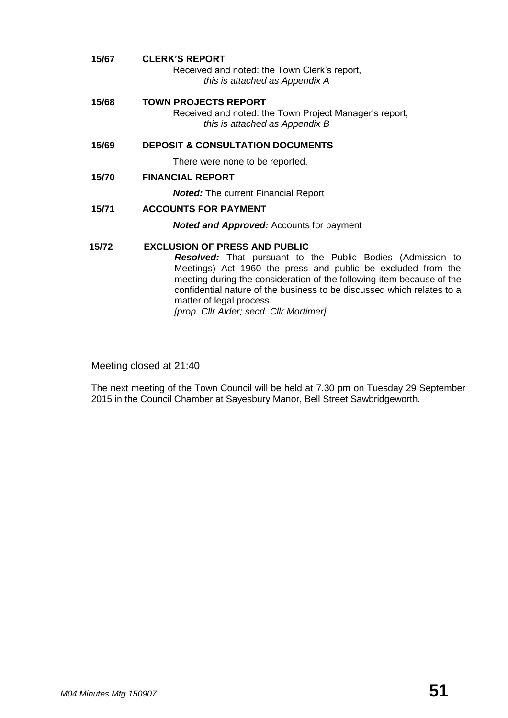| 15/67 | <b>CLERK'S REPORT</b><br>Received and noted: the Town Clerk's report,<br>this is attached as Appendix A                                                                                                                                                                                                                                                                                             |
|-------|-----------------------------------------------------------------------------------------------------------------------------------------------------------------------------------------------------------------------------------------------------------------------------------------------------------------------------------------------------------------------------------------------------|
| 15/68 | <b>TOWN PROJECTS REPORT</b><br>Received and noted: the Town Project Manager's report,<br>this is attached as Appendix B                                                                                                                                                                                                                                                                             |
| 15/69 | <b>DEPOSIT &amp; CONSULTATION DOCUMENTS</b>                                                                                                                                                                                                                                                                                                                                                         |
|       | There were none to be reported.                                                                                                                                                                                                                                                                                                                                                                     |
| 15/70 | <b>FINANCIAL REPORT</b>                                                                                                                                                                                                                                                                                                                                                                             |
|       | <b>Noted:</b> The current Financial Report                                                                                                                                                                                                                                                                                                                                                          |
| 15/71 | <b>ACCOUNTS FOR PAYMENT</b>                                                                                                                                                                                                                                                                                                                                                                         |
|       | <b>Noted and Approved:</b> Accounts for payment                                                                                                                                                                                                                                                                                                                                                     |
| 15/72 | <b>EXCLUSION OF PRESS AND PUBLIC</b><br><b>Resolved:</b> That pursuant to the Public Bodies (Admission to<br>Meetings) Act 1960 the press and public be excluded from the<br>meeting during the consideration of the following item because of the<br>confidential nature of the business to be discussed which relates to a<br>matter of legal process.<br>[prop. Cllr Alder; secd. Cllr Mortimer] |

Meeting closed at 21:40

The next meeting of the Town Council will be held at 7.30 pm on Tuesday 29 September 2015 in the Council Chamber at Sayesbury Manor, Bell Street Sawbridgeworth.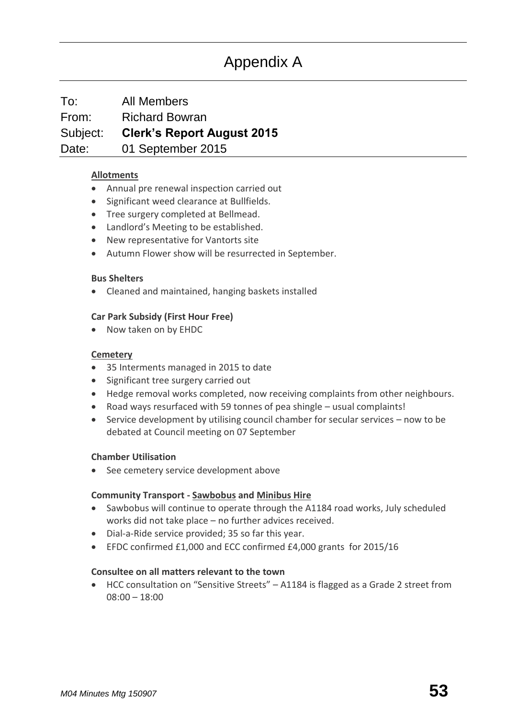### Appendix A

To: All Members From: Richard Bowran Subject: **Clerk's Report August 2015** Date: 01 September 2015

#### **[Allotments](http://www.sawbridgeworth-tc.gov.uk/town-information/town-council-services/allotments)**

- Annual pre renewal inspection carried out
- Significant weed clearance at Bullfields.
- Tree surgery completed at Bellmead.
- Landlord's Meeting to be established.
- New representative for Vantorts site
- Autumn Flower show will be resurrected in September.

#### **Bus Shelters**

Cleaned and maintained, hanging baskets installed

#### **Car Park Subsidy (First Hour Free)**

• Now taken on by EHDC

#### **[Cemetery](http://www.sawbridgeworth-tc.gov.uk/town-information/town-council-services/cemetery)**

- 35 Interments managed in 2015 to date
- Significant tree surgery carried out
- Hedge removal works completed, now receiving complaints from other neighbours.
- Road ways resurfaced with 59 tonnes of pea shingle usual complaints!
- Service development by utilising council chamber for secular services now to be debated at Council meeting on 07 September

#### **Chamber Utilisation**

See cemetery service development above

#### **Community Transport - [Sawbobus](http://www.sawbridgeworth-tc.gov.uk/town-information/town-council-services/sawbobus) an[d Minibus Hire](http://www.sawbridgeworth-tc.gov.uk/town-information/town-council-services/minibus-hire)**

- Sawbobus will continue to operate through the A1184 road works, July scheduled works did not take place – no further advices received.
- Dial-a-Ride service provided; 35 so far this year.
- EFDC confirmed £1,000 and ECC confirmed £4,000 grants for 2015/16

#### **Consultee on all matters relevant to the town**

 HCC consultation on "Sensitive Streets" – A1184 is flagged as a Grade 2 street from 08:00 – 18:00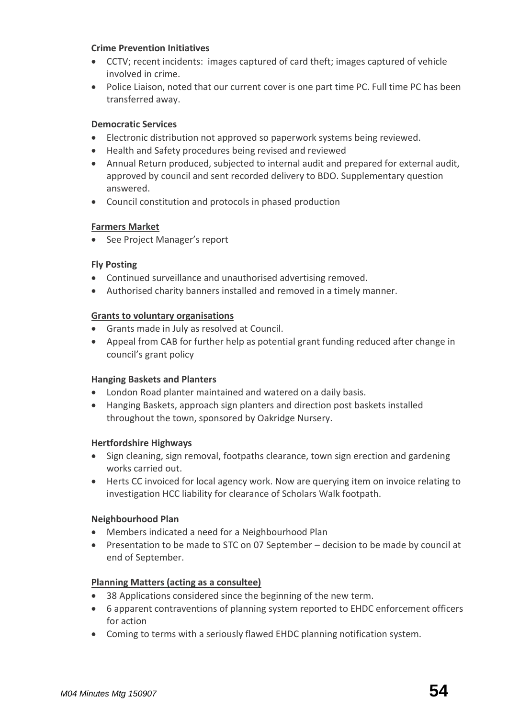#### **Crime Prevention Initiatives**

- CCTV; recent incidents: images captured of card theft; images captured of vehicle involved in crime.
- Police Liaison, noted that our current cover is one part time PC. Full time PC has been transferred away.

#### **Democratic Services**

- Electronic distribution not approved so paperwork systems being reviewed.
- Health and Safety procedures being revised and reviewed
- Annual Return produced, subjected to internal audit and prepared for external audit, approved by council and sent recorded delivery to BDO. Supplementary question answered.
- Council constitution and protocols in phased production

#### **[Farmers Market](http://www.sawbridgeworth-tc.gov.uk/farmers-market)**

• See Project Manager's report

#### **Fly Posting**

- Continued surveillance and unauthorised advertising removed.
- Authorised charity banners installed and removed in a timely manner.

#### **[Grants to voluntary organisations](http://www.sawbridgeworth-tc.gov.uk/town-council/grants)**

- Grants made in July as resolved at Council.
- Appeal from CAB for further help as potential grant funding reduced after change in council's grant policy

#### **Hanging Baskets and Planters**

- London Road planter maintained and watered on a daily basis.
- Hanging Baskets, approach sign planters and direction post baskets installed throughout the town, sponsored by Oakridge Nursery.

#### **Hertfordshire Highways**

- Sign cleaning, sign removal, footpaths clearance, town sign erection and gardening works carried out.
- Herts CC invoiced for local agency work. Now are querying item on invoice relating to investigation HCC liability for clearance of Scholars Walk footpath.

#### **Neighbourhood Plan**

- Members indicated a need for a Neighbourhood Plan
- Presentation to be made to STC on 07 September decision to be made by council at end of September.

#### **[Planning Matters \(acting as a consultee\)](http://www.sawbridgeworth-tc.gov.uk/town-council/planning)**

- 38 Applications considered since the beginning of the new term.
- 6 apparent contraventions of planning system reported to EHDC enforcement officers for action
- Coming to terms with a seriously flawed EHDC planning notification system.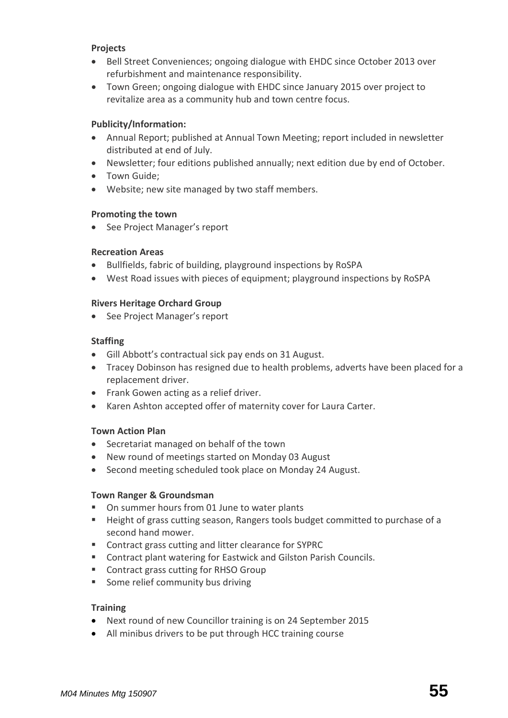#### **Projects**

- Bell Street Conveniences; ongoing dialogue with EHDC since October 2013 over refurbishment and maintenance responsibility.
- Town Green; ongoing dialogue with EHDC since January 2015 over project to revitalize area as a community hub and town centre focus.

#### **Publicity/Information:**

- Annual Report; published at Annual Town Meeting; report included in newsletter distributed at end of July.
- Newsletter; four editions published annually; next edition due by end of October.
- Town Guide:
- Website; new site managed by two staff members.

#### **Promoting the town**

• See Project Manager's report

#### **Recreation Areas**

- Bullfields, fabric of building, playground inspections by RoSPA
- West Road issues with pieces of equipment; playground inspections by RoSPA

#### **Rivers Heritage Orchard Group**

• See Project Manager's report

#### **Staffing**

- Gill Abbott's contractual sick pay ends on 31 August.
- Tracey Dobinson has resigned due to health problems, adverts have been placed for a replacement driver.
- Frank Gowen acting as a relief driver.
- Karen Ashton accepted offer of maternity cover for Laura Carter.

#### **Town Action Plan**

- Secretariat managed on behalf of the town
- New round of meetings started on Monday 03 August
- Second meeting scheduled took place on Monday 24 August.

#### **Town Ranger & Groundsman**

- On summer hours from 01 June to water plants
- Height of grass cutting season, Rangers tools budget committed to purchase of a second hand mower.
- **EXECONTRACT CONTRACT CONTROL EXT** Contract grass cutting and litter clearance for SYPRC
- Contract plant watering for Eastwick and Gilston Parish Councils.
- Contract grass cutting for RHSO Group
- **Some relief community bus driving**

#### **Training**

- Next round of new Councillor training is on 24 September 2015
- All minibus drivers to be put through HCC training course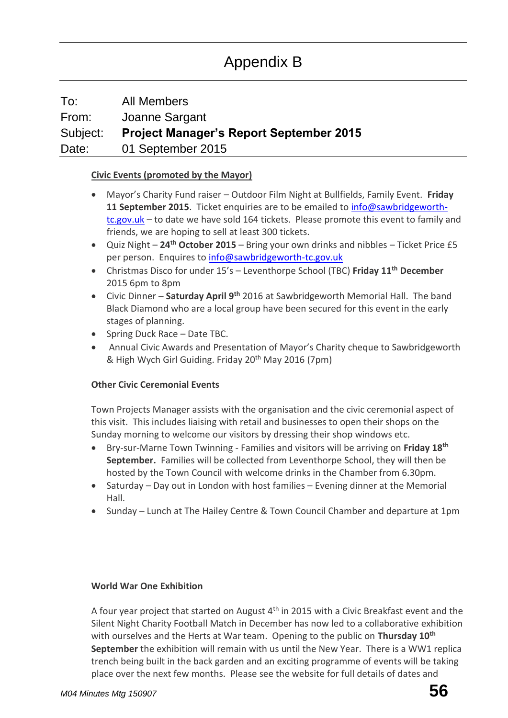### To: All Members From: Joanne Sargant Subject: **Project Manager's Report September 2015** Date: 01 September 2015

#### **[Civic Events \(promoted by the Mayor\)](http://www.sawbridgeworth-tc.gov.uk/town-council/the-mayor)**

- Mayor's Charity Fund raiser Outdoor Film Night at Bullfields, Family Event. **Friday 11 September 2015**. Ticket enquiries are to be emailed to [info@sawbridgeworth](mailto:info@sawbridgeworth-tc.gov.uk)[tc.gov.uk](mailto:info@sawbridgeworth-tc.gov.uk) – to date we have sold 164 tickets. Please promote this event to family and friends, we are hoping to sell at least 300 tickets.
- Quiz Night **24th October 2015** Bring your own drinks and nibbles Ticket Price £5 per person. Enquires to [info@sawbridgeworth-tc.gov.uk](mailto:info@sawbridgeworth-tc.gov.uk)
- Christmas Disco for under 15's Leventhorpe School (TBC) **Friday 11th December**  2015 6pm to 8pm
- Civic Dinner **Saturday April 9th** 2016 at Sawbridgeworth Memorial Hall. The band Black Diamond who are a local group have been secured for this event in the early stages of planning.
- Spring Duck Race Date TBC.
- Annual Civic Awards and Presentation of Mayor's Charity cheque to Sawbridgeworth & High Wych Girl Guiding. Friday 20th May 2016 (7pm)

#### **Other Civic Ceremonial Events**

Town Projects Manager assists with the organisation and the civic ceremonial aspect of this visit. This includes liaising with retail and businesses to open their shops on the Sunday morning to welcome our visitors by dressing their shop windows etc.

- Bry-sur-Marne Town Twinning Families and visitors will be arriving on **Friday 18th September.** Families will be collected from Leventhorpe School, they will then be hosted by the Town Council with welcome drinks in the Chamber from 6.30pm.
- Saturday Day out in London with host families Evening dinner at the Memorial Hall.
- Sunday Lunch at The Hailey Centre & Town Council Chamber and departure at 1pm

#### **World War One Exhibition**

A four year project that started on August  $4<sup>th</sup>$  in 2015 with a Civic Breakfast event and the Silent Night Charity Football Match in December has now led to a collaborative exhibition with ourselves and the Herts at War team. Opening to the public on **Thursday 10th September** the exhibition will remain with us until the New Year. There is a WW1 replica trench being built in the back garden and an exciting programme of events will be taking place over the next few months. Please see the website for full details of dates and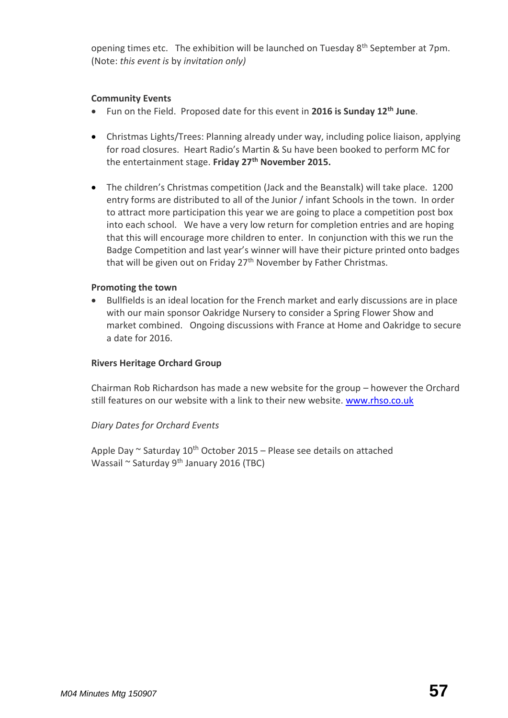opening times etc. The exhibition will be launched on Tuesday  $8<sup>th</sup>$  September at 7pm. (Note: *this event is* by *invitation only)* 

#### **Community Events**

- Fun on the Field. Proposed date for this event in **2016 is Sunday 12th June**.
- Christmas Lights/Trees: Planning already under way, including police liaison, applying for road closures. Heart Radio's Martin & Su have been booked to perform MC for the entertainment stage. **Friday 27th November 2015.**
- The children's Christmas competition (Jack and the Beanstalk) will take place. 1200 entry forms are distributed to all of the Junior / infant Schools in the town. In order to attract more participation this year we are going to place a competition post box into each school. We have a very low return for completion entries and are hoping that this will encourage more children to enter. In conjunction with this we run the Badge Competition and last year's winner will have their picture printed onto badges that will be given out on Friday 27<sup>th</sup> November by Father Christmas.

#### **Promoting the town**

 Bullfields is an ideal location for the French market and early discussions are in place with our main sponsor Oakridge Nursery to consider a Spring Flower Show and market combined. Ongoing discussions with France at Home and Oakridge to secure a date for 2016.

#### **Rivers Heritage Orchard Group**

Chairman Rob Richardson has made a new website for the group – however the Orchard still features on our website with a link to their new website. [www.rhso.co.uk](http://www.rhso.co.uk/)

#### *Diary Dates for Orchard Events*

Apple Day  $\sim$  Saturday 10<sup>th</sup> October 2015 – Please see details on attached Wassail ~ Saturday  $9^{th}$  January 2016 (TBC)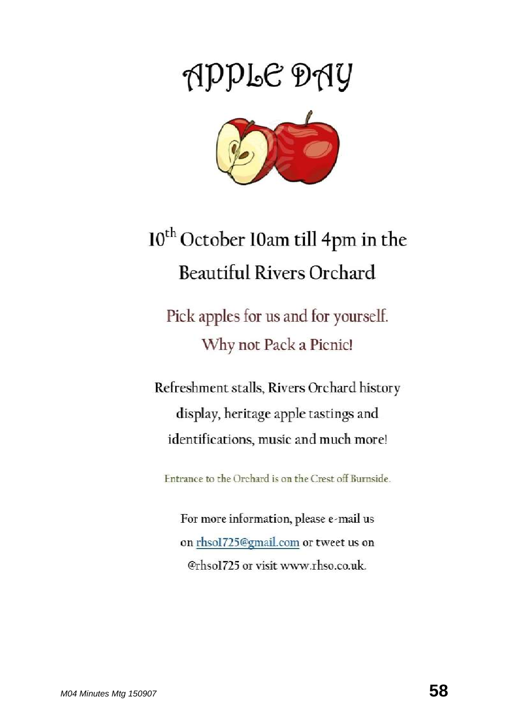# APPLE DAY



# 10<sup>th</sup> October 10am till 4pm in the **Beautiful Rivers Orchard**

Pick apples for us and for yourself. Why not Pack a Picnic!

Refreshment stalls, Rivers Orchard history display, heritage apple tastings and identifications, music and much more!

Entrance to the Orchard is on the Crest off Burnside.

For more information, please e-mail us on rhsol725@gmail.com or tweet us on @rhsol725 or visit www.rhso.co.uk.